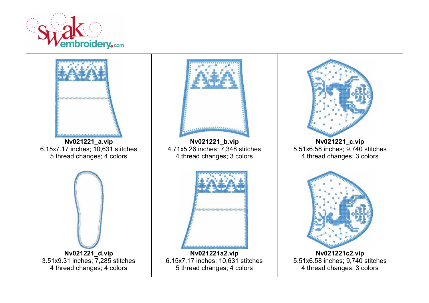

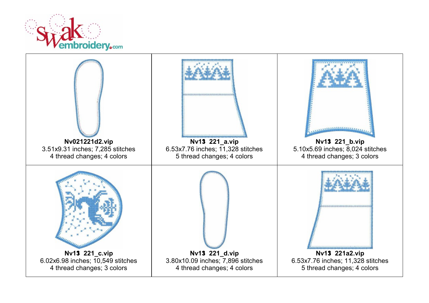

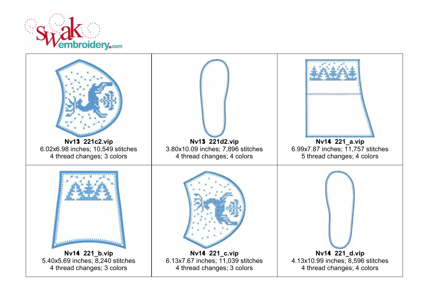